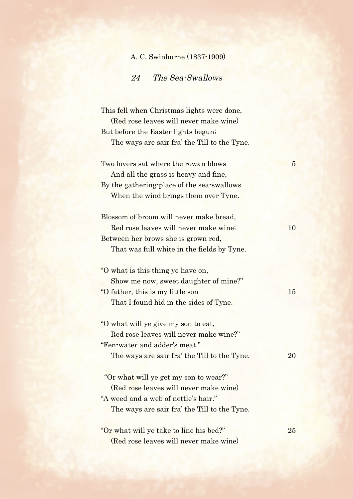| A. C. Swinburne (1837-1909) |  |
|-----------------------------|--|
|-----------------------------|--|

24 The Sea-Swallows

This fell when Christmas lights were done, (Red rose leaves will never make wine) But before the Easter lights begun; The ways are sair fra' the Till to the Tyne. Two lovers sat where the rowan blows 5 And all the grass is heavy and fine, By the gathering-place of the sea-swallows When the wind brings them over Tyne. Blossom of broom will never make bread, Red rose leaves will never make wine; 10 Between her brows she is grown red, That was full white in the fields by Tyne. "O what is this thing ye have on, Show me now, sweet daughter of mine?"

| "O father, this is my little son       | 15 |
|----------------------------------------|----|
| That I found hid in the sides of Tyne. |    |

- "O what will ye give my son to eat, Red rose leaves will never make wine?" "Fen-water and adder's meat." The ways are sair fra' the Till to the Tyne. 20
- "Or what will ye get my son to wear?" (Red rose leaves will never make wine) "A weed and a web of nettle's hair." The ways are sair fra' the Till to the Tyne.
- "Or what will ye take to line his bed?" 25 (Red rose leaves will never make wine)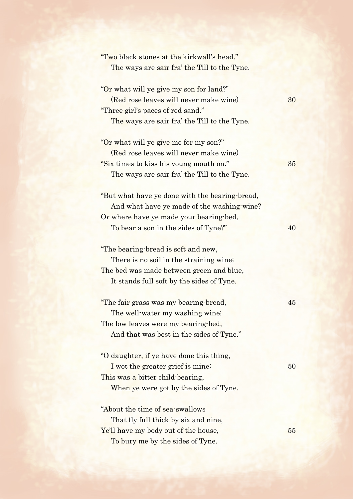| "Two black stones at the kirkwall's head."<br>The ways are sair fra' the Till to the Tyne.                                                                              |    |
|-------------------------------------------------------------------------------------------------------------------------------------------------------------------------|----|
| "Or what will ye give my son for land?"<br>(Red rose leaves will never make wine)<br>"Three girl's paces of red sand."                                                  | 30 |
| The ways are sair fra' the Till to the Tyne.<br>"Or what will ye give me for my son?"                                                                                   |    |
| (Red rose leaves will never make wine)                                                                                                                                  |    |
| "Six times to kiss his young mouth on."                                                                                                                                 | 35 |
| The ways are sair fra' the Till to the Tyne.                                                                                                                            |    |
| "But what have ye done with the bearing-bread,<br>And what have ye made of the washing-wine?                                                                            |    |
| Or where have ye made your bearing bed,<br>To bear a son in the sides of Tyne?"                                                                                         | 40 |
| "The bearing-bread is soft and new,<br>There is no soil in the straining wine.<br>The bed was made between green and blue,<br>It stands full soft by the sides of Tyne. |    |
| "The fair grass was my bearing-bread,<br>The well-water my washing wine;<br>The low leaves were my bearing-bed,<br>And that was best in the sides of Tyne."             | 45 |
| "O daughter, if ye have done this thing,<br>I wot the greater grief is mine.<br>This was a bitter child-bearing,<br>When ye were got by the sides of Tyne.              | 50 |
| "About the time of sea-swallows                                                                                                                                         |    |
| That fly full thick by six and nine,                                                                                                                                    |    |
| Ye'll have my body out of the house,                                                                                                                                    | 55 |
| To bury me by the sides of Tyne.                                                                                                                                        |    |